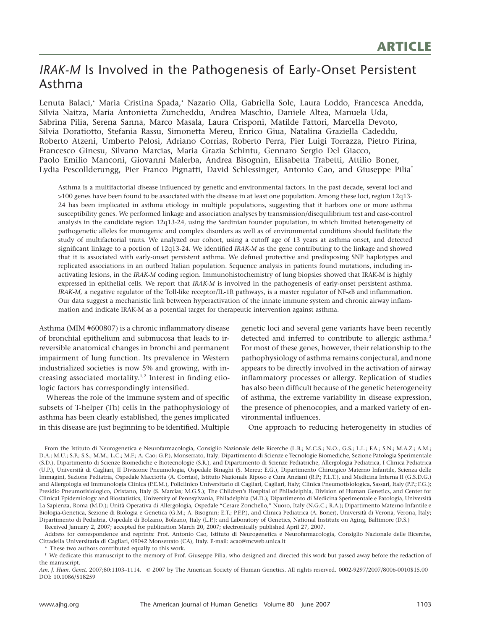# *IRAK-M* Is Involved in the Pathogenesis of Early-Onset Persistent Asthma

Lenuta Balaci,\* Maria Cristina Spada,\* Nazario Olla, Gabriella Sole, Laura Loddo, Francesca Anedda, Silvia Naitza, Maria Antonietta Zuncheddu, Andrea Maschio, Daniele Altea, Manuela Uda, Sabrina Pilia, Serena Sanna, Marco Masala, Laura Crisponi, Matilde Fattori, Marcella Devoto, Silvia Doratiotto, Stefania Rassu, Simonetta Mereu, Enrico Giua, Natalina Graziella Cadeddu, Roberto Atzeni, Umberto Pelosi, Adriano Corrias, Roberto Perra, Pier Luigi Torrazza, Pietro Pirina, Francesco Ginesu, Silvano Marcias, Maria Grazia Schintu, Gennaro Sergio Del Giacco, Paolo Emilio Manconi, Giovanni Malerba, Andrea Bisognin, Elisabetta Trabetti, Attilio Boner, Lydia Pescollderungg, Pier Franco Pignatti, David Schlessinger, Antonio Cao, and Giuseppe Pilia†

Asthma is a multifactorial disease influenced by genetic and environmental factors. In the past decade, several loci and 1100 genes have been found to be associated with the disease in at least one population. Among these loci, region 12q13- 24 has been implicated in asthma etiology in multiple populations, suggesting that it harbors one or more asthma susceptibility genes. We performed linkage and association analyses by transmission/disequilibrium test and case-control analysis in the candidate region 12q13-24, using the Sardinian founder population, in which limited heterogeneity of pathogenetic alleles for monogenic and complex disorders as well as of environmental conditions should facilitate the study of multifactorial traits. We analyzed our cohort, using a cutoff age of 13 years at asthma onset, and detected significant linkage to a portion of 12q13-24. We identified *IRAK-M* as the gene contributing to the linkage and showed that it is associated with early-onset persistent asthma. We defined protective and predisposing SNP haplotypes and replicated associations in an outbred Italian population. Sequence analysis in patients found mutations, including inactivating lesions, in the *IRAK-M* coding region. Immunohistochemistry of lung biopsies showed that IRAK-M is highly expressed in epithelial cells. We report that *IRAK-M* is involved in the pathogenesis of early-onset persistent asthma. *IRAK-M,* a negative regulator of the Toll-like receptor/IL-1R pathways, is a master regulator of NF-kB and inflammation. Our data suggest a mechanistic link between hyperactivation of the innate immune system and chronic airway inflammation and indicate IRAK-M as a potential target for therapeutic intervention against asthma.

Asthma (MIM #600807) is a chronic inflammatory disease of bronchial epithelium and submucosa that leads to irreversible anatomical changes in bronchi and permanent impairment of lung function. Its prevalence in Western industrialized societies is now 5% and growing, with increasing associated mortality.<sup>1,2</sup> Interest in finding etiologic factors has correspondingly intensified.

Whereas the role of the immune system and of specific subsets of T-helper (Th) cells in the pathophysiology of asthma has been clearly established, the genes implicated in this disease are just beginning to be identified. Multiple

genetic loci and several gene variants have been recently detected and inferred to contribute to allergic asthma.<sup>3</sup> For most of these genes, however, their relationship to the pathophysiology of asthma remains conjectural, and none appears to be directly involved in the activation of airway inflammatory processes or allergy. Replication of studies has also been difficult because of the genetic heterogeneity of asthma, the extreme variability in disease expression, the presence of phenocopies, and a marked variety of environmental influences.

One approach to reducing heterogeneity in studies of

From the Istituto di Neurogenetica e Neurofarmacologia, Consiglio Nazionale delle Ricerche (L.B.; M.C.S.; N.O., G.S.; L.L.; F.A.; S.N.; M.A.Z.; A.M.; D.A.; M.U.; S.P.; S.S.; M.M.; L.C.; M.F.; A. Cao; G.P.), Monserrato, Italy; Dipartimento di Scienze e Tecnologie Biomediche, Sezione Patologia Sperimentale (S.D.), Dipartimento di Scienze Biomediche e Biotecnologie (S.R.), and Dipartimento di Scienze Pediatriche, Allergologia Pediatrica, I Clinica Pediatrica (U.P.), Universita` di Cagliari, II Divisione Pneumologia, Ospedale Binaghi (S. Mereu; E.G.), Dipartimento Chirurgico Materno Infantile, Scienza delle Immagini, Sezione Pediatria, Ospedale Macciotta (A. Corrias), Istituto Nazionale Riposo e Cura Anziani (R.P.; P.L.T.), and Medicina Interna II (G.S.D.G.) and Allergologia ed Immunologia Clinica (P.E.M.), Policlinico Universitario di Cagliari, Cagliari, Italy; Clinica Pneumotisiologica, Sassari, Italy (P.P.; F.G.); Presidio Pneumotisiologico, Oristano, Italy (S. Marcias; M.G.S.); The Children's Hospital of Philadelphia, Division of Human Genetics, and Center for Clinical Epidemiology and Biostatistics, University of Pennsylvania, Philadelphia (M.D.); Dipartimento di Medicina Sperimentale e Patologia, Universita` La Sapienza, Roma (M.D.); Unita` Operativa di Allergologia, Ospedale "Cesare Zonchello," Nuoro, Italy (N.G.C.; R.A.); Dipartimento Materno Infantile e Biologia-Genetica, Sezione di Biologia e Genetica (G.M.; A. Bisognin; E.T.; P.F.P.), and Clinica Pediatrica (A. Boner), Universita` di Verona, Verona, Italy; Dipartimento di Pediatria, Ospedale di Bolzano, Bolzano, Italy (L.P.); and Laboratory of Genetics, National Institute on Aging, Baltimore (D.S.) Received January 2, 2007; accepted for publication March 20, 2007; electronically published April 27, 2007.

Address for correspondence and reprints: Prof. Antonio Cao, Istituto di Neurogenetica e Neurofarmacologia, Consiglio Nazionale delle Ricerche, Cittadella Universitaria di Cagliari, 09042 Monserrato (CA), Italy. E-mail: acao@mcweb.unica.it

\* These two authors contributed equally to this work.

† We dedicate this manuscript to the memory of Prof. Giuseppe Pilia, who designed and directed this work but passed away before the redaction of the manuscript.

*Am. J. Hum. Genet.* 2007;80:1103–1114. 2007 by The American Society of Human Genetics. All rights reserved. 0002-9297/2007/8006-0010\$15.00 DOI: 10.1086/518259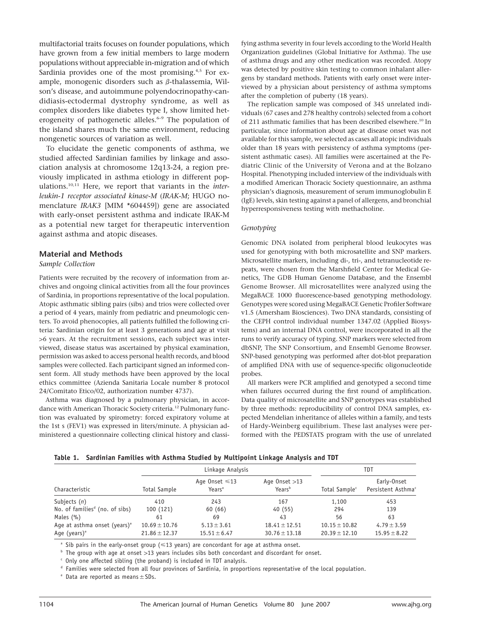multifactorial traits focuses on founder populations, which have grown from a few initial members to large modern populations without appreciable in-migration and of which Sardinia provides one of the most promising. $4,5$  For example, monogenic disorders such as  $\beta$ -thalassemia, Wilson's disease, and autoimmune polyendocrinopathy-candidiasis-ectodermal dystrophy syndrome, as well as complex disorders like diabetes type I, show limited heterogeneity of pathogenetic alleles. $6-9$  The population of the island shares much the same environment, reducing nongenetic sources of variation as well.

To elucidate the genetic components of asthma, we studied affected Sardinian families by linkage and association analysis at chromosome 12q13-24, a region previously implicated in asthma etiology in different populations.10,11 Here, we report that variants in the *interleukin-1 receptor associated kinase-M* (*IRAK-M*; HUGO nomenclature *IRAK3* [MIM \*604459]) gene are associated with early-onset persistent asthma and indicate IRAK-M as a potential new target for therapeutic intervention against asthma and atopic diseases.

## **Material and Methods**

### *Sample Collection*

Patients were recruited by the recovery of information from archives and ongoing clinical activities from all the four provinces of Sardinia, in proportions representative of the local population. Atopic asthmatic sibling pairs (sibs) and trios were collected over a period of 4 years, mainly from pediatric and pneumologic centers. To avoid phenocopies, all patients fulfilled the following criteria: Sardinian origin for at least 3 generations and age at visit >6 years. At the recruitment sessions, each subject was interviewed, disease status was ascertained by physical examination, permission was asked to access personal health records, and blood samples were collected. Each participant signed an informed consent form. All study methods have been approved by the local ethics committee (Azienda Sanitaria Locale number 8 protocol 24/Comitato Etico/02, authorization number 4737).

Asthma was diagnosed by a pulmonary physician, in accordance with American Thoracic Society criteria.<sup>12</sup> Pulmonary function was evaluated by spirometry: forced expiratory volume at the 1st s (FEV1) was expressed in liters/minute. A physician administered a questionnaire collecting clinical history and classi-

fying asthma severity in four levels according to the World Health Organization guidelines (Global Initiative for Asthma). The use of asthma drugs and any other medication was recorded. Atopy was detected by positive skin testing to common inhalant allergens by standard methods. Patients with early onset were interviewed by a physician about persistency of asthma symptoms after the completion of puberty (18 years).

The replication sample was composed of 345 unrelated individuals (67 cases and 278 healthy controls) selected from a cohort of 211 asthmatic families that has been described elsewhere.<sup>10</sup> In particular, since information about age at disease onset was not available for this sample, we selected as cases all atopic individuals older than 18 years with persistency of asthma symptoms (persistent asthmatic cases). All families were ascertained at the Pediatric Clinic of the University of Verona and at the Bolzano Hospital. Phenotyping included interview of the individuals with a modified American Thoracic Society questionnaire, an asthma physician's diagnosis, measurement of serum immunoglobulin E (IgE) levels, skin testing against a panel of allergens, and bronchial hyperresponsiveness testing with methacholine.

## *Genotyping*

Genomic DNA isolated from peripheral blood leukocytes was used for genotyping with both microsatellite and SNP markers. Microsatellite markers, including di-, tri-, and tetranucleotide repeats, were chosen from the Marshfield Center for Medical Genetics, The GDB Human Genome Database, and the Ensembl Genome Browser. All microsatellites were analyzed using the MegaBACE 1000 fluorescence-based genotyping methodology. Genotypes were scored using MegaBACE Genetic Profiler Software v1.5 (Amersham Biosciences). Two DNA standards, consisting of the CEPH control individual number 1347.02 (Applied Biosystems) and an internal DNA control, were incorporated in all the runs to verify accuracy of typing. SNP markers were selected from dbSNP, The SNP Consortium, and Ensembl Genome Browser. SNP-based genotyping was performed after dot-blot preparation of amplified DNA with use of sequence-specific oligonucleotide probes.

All markers were PCR amplified and genotyped a second time when failures occurred during the first round of amplification. Data quality of microsatellite and SNP genotypes was established by three methods: reproducibility of control DNA samples, expected Mendelian inheritance of alleles within a family, and tests of Hardy-Weinberg equilibrium. These last analyses were performed with the PEDSTATS program with the use of unrelated

|  |  |  | Table 1.   Sardinian Families with Asthma Studied by Multipoint Linkage Analysis and TDT |
|--|--|--|------------------------------------------------------------------------------------------|

|                                            |                   | Linkage Analysis                          | TDT                                   |                           |                                               |
|--------------------------------------------|-------------------|-------------------------------------------|---------------------------------------|---------------------------|-----------------------------------------------|
| Characteristic                             | Total Sample      | Age Onset $\leq 13$<br>Years <sup>a</sup> | Age Onset $>13$<br>Years <sup>b</sup> | Total Sample <sup>c</sup> | Early-Onset<br>Persistent Asthma <sup>c</sup> |
| Subjects $(n)$                             | 410               | 243                                       | 167                                   | 1,100                     | 453                                           |
| No. of families <sup>d</sup> (no. of sibs) | 100(121)          | 60 (66)                                   | 40 (55)                               | 294                       | 139                                           |
| Males $(% )$                               | 61                | 69                                        | 43                                    | 56                        | 63                                            |
| Age at asthma onset (years) $e$            | $10.69 + 10.76$   | $5.13 \pm 3.61$                           | $18.41 \pm 12.51$                     | $10.15 \pm 10.82$         | $4.79 \pm 3.59$                               |
| Age (years) $e$                            | $21.86 \pm 12.37$ | $15.51 \pm 6.47$                          | $30.76 \pm 13.18$                     | $20.39 \pm 12.10$         | $15.95 \pm 8.22$                              |

<sup>a</sup> Sib pairs in the early-onset group ( $\leq 13$  years) are concordant for age at asthma onset.

 $b$  The group with age at onset >13 years includes sibs both concordant and discordant for onset.

 $\degree$  Only one affected sibling (the proband) is included in TDT analysis.

<sup>d</sup> Families were selected from all four provinces of Sardinia, in proportions representative of the local population.

 $e^e$  Data are reported as means  $\pm$  SDs.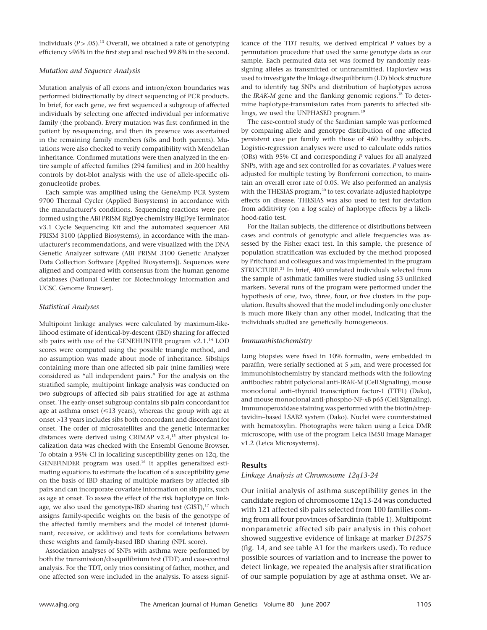individuals  $(P > .05)$ .<sup>13</sup> Overall, we obtained a rate of genotyping efficiency >96% in the first step and reached 99.8% in the second.

### *Mutation and Sequence Analysis*

Mutation analysis of all exons and intron/exon boundaries was performed bidirectionally by direct sequencing of PCR products. In brief, for each gene, we first sequenced a subgroup of affected individuals by selecting one affected individual per informative family (the proband). Every mutation was first confirmed in the patient by resequencing, and then its presence was ascertained in the remaining family members (sibs and both parents). Mutations were also checked to verify compatibility with Mendelian inheritance. Confirmed mutations were then analyzed in the entire sample of affected families (294 families) and in 200 healthy controls by dot-blot analysis with the use of allele-specific oligonucleotide probes.

Each sample was amplified using the GeneAmp PCR System 9700 Thermal Cycler (Applied Biosystems) in accordance with the manufacturer's conditions. Sequencing reactions were performed using the ABI PRISM BigDye chemistry BigDye Terminator v3.1 Cycle Sequencing Kit and the automated sequencer ABI PRISM 3100 (Applied Biosystems), in accordance with the manufacturer's recommendations, and were visualized with the DNA Genetic Analyzer software (ABI PRISM 3100 Genetic Analyzer Data Collection Software [Applied Biosystems]). Sequences were aligned and compared with consensus from the human genome databases (National Center for Biotechnology Information and UCSC Genome Browser).

## *Statistical Analyses*

Multipoint linkage analyses were calculated by maximum-likelihood estimate of identical-by-descent (IBD) sharing for affected sib pairs with use of the GENEHUNTER program v2.1.<sup>14</sup> LOD scores were computed using the possible triangle method, and no assumption was made about mode of inheritance. Sibships containing more than one affected sib pair (nine families) were considered as "all independent pairs." For the analysis on the stratified sample, multipoint linkage analysis was conducted on two subgroups of affected sib pairs stratified for age at asthma onset. The early-onset subgroup contains sib pairs concordant for age at asthma onset ( $\leq$ 13 years), whereas the group with age at onset >13 years includes sibs both concordant and discordant for onset. The order of microsatellites and the genetic intermarker distances were derived using CRIMAP v2.4,<sup>15</sup> after physical localization data was checked with the Ensembl Genome Browser. To obtain a 95% CI in localizing susceptibility genes on 12q, the GENEFINDER program was used.<sup>16</sup> It applies generalized estimating equations to estimate the location of a susceptibility gene on the basis of IBD sharing of multiple markers by affected sib pairs and can incorporate covariate information on sib pairs, such as age at onset. To assess the effect of the risk haplotype on linkage, we also used the genotype-IBD sharing test (GIST),<sup>17</sup> which assigns family-specific weights on the basis of the genotype of the affected family members and the model of interest (dominant, recessive, or additive) and tests for correlations between these weights and family-based IBD sharing (NPL score).

Association analyses of SNPs with asthma were performed by both the transmission/disequilibrium test (TDT) and case-control analysis. For the TDT, only trios consisting of father, mother, and one affected son were included in the analysis. To assess significance of the TDT results, we derived empirical *P* values by a permutation procedure that used the same genotype data as our sample. Each permuted data set was formed by randomly reassigning alleles as transmitted or untransmitted. Haploview was used to investigate the linkage disequilibrium (LD) block structure and to identify tag SNPs and distribution of haplotypes across the *IRAK-M* gene and the flanking genomic regions.<sup>18</sup> To determine haplotype-transmission rates from parents to affected siblings, we used the UNPHASED program.<sup>19</sup>

The case-control study of the Sardinian sample was performed by comparing allele and genotype distribution of one affected persistent case per family with those of 460 healthy subjects. Logistic-regression analyses were used to calculate odds ratios (ORs) with 95% CI and corresponding *P* values for all analyzed SNPs, with age and sex controlled for as covariates. *P* values were adjusted for multiple testing by Bonferroni correction, to maintain an overall error rate of 0.05. We also performed an analysis with the THESIAS program,<sup>20</sup> to test covariate-adjusted haplotype effects on disease. THESIAS was also used to test for deviation from additivity (on a log scale) of haplotype effects by a likelihood-ratio test.

For the Italian subjects, the difference of distributions between cases and controls of genotypic and allele frequencies was assessed by the Fisher exact test. In this sample, the presence of population stratification was excluded by the method proposed by Pritchard and colleagues and was implemented in the program STRUCTURE.21 In brief, 400 unrelated individuals selected from the sample of asthmatic families were studied using 53 unlinked markers. Several runs of the program were performed under the hypothesis of one, two, three, four, or five clusters in the population. Results showed that the model including only one cluster is much more likely than any other model, indicating that the individuals studied are genetically homogeneous.

## *Immunohistochemistry*

Lung biopsies were fixed in 10% formalin, were embedded in paraffin, were serially sectioned at 5  $\mu$ m, and were processed for immunohistochemistry by standard methods with the following antibodies: rabbit polyclonal anti-IRAK-M (Cell Signaling), mouse monoclonal anti–thyroid transcription factor-1 (TTF1) (Dako), and mouse monoclonal anti-phospho-NF-kB p65 (Cell Signaling). Immunoperoxidase staining was performed with the biotin/streptavidin–based LSAB2 system (Dako). Nuclei were counterstained with hematoxylin. Photographs were taken using a Leica DMR microscope, with use of the program Leica IM50 Image Manager v1.2 (Leica Microsystems).

# **Results**

# *Linkage Analysis at Chromosome 12q13-24*

Our initial analysis of asthma susceptibility genes in the candidate region of chromosome 12q13-24 was conducted with 121 affected sib pairs selected from 100 families coming from all four provinces of Sardinia (table 1). Multipoint nonparametric affected sib pair analysis in this cohort showed suggestive evidence of linkage at marker *D12S75* (fig. 1*A*, and see table A1 for the markers used). To reduce possible sources of variation and to increase the power to detect linkage, we repeated the analysis after stratification of our sample population by age at asthma onset. We ar-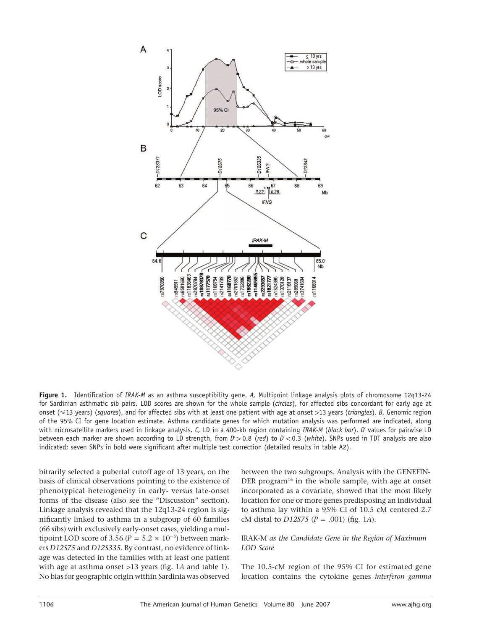

**Figure 1.** Identification of *IRAK-M* as an asthma susceptibility gene. *A,* Multipoint linkage analysis plots of chromosome 12q13-24 for Sardinian asthmatic sib pairs. LOD scores are shown for the whole sample (*circles*), for affected sibs concordant for early age at onset (13 years) (*squares*), and for affected sibs with at least one patient with age at onset 113 years (*triangles*). *B,* Genomic region of the 95% CI for gene location estimate. Asthma candidate genes for which mutation analysis was performed are indicated, along with microsatellite markers used in linkage analysis. *C,* LD in a 400-kb region containing *IRAK-M* (*black bar*). *D* values for pairwise LD between each marker are shown according to LD strength, from  $D' > 0.8$  (red) to  $D' < 0.3$  (white). SNPs used in TDT analysis are also indicated; seven SNPs in bold were significant after multiple test correction (detailed results in table A2).

bitrarily selected a pubertal cutoff age of 13 years, on the basis of clinical observations pointing to the existence of phenotypical heterogeneity in early- versus late-onset forms of the disease (also see the "Discussion" section). Linkage analysis revealed that the 12q13-24 region is significantly linked to asthma in a subgroup of 60 families (66 sibs) with exclusively early-onset cases, yielding a multipoint LOD score of 3.56 ( $P = 5.2 \times 10^{-5}$ ) between markers *D12S75* and *D12S335.* By contrast, no evidence of linkage was detected in the families with at least one patient with age at asthma onset >13 years (fig. 1*A* and table 1). No bias for geographic origin within Sardinia was observed

between the two subgroups. Analysis with the GENEFIN-DER program<sup>16</sup> in the whole sample, with age at onset incorporated as a covariate, showed that the most likely location for one or more genes predisposing an individual to asthma lay within a 95% CI of 10.5 cM centered 2.7 cM distal to *D12S75* ( $P = .001$ ) (fig. 1*A*).

# IRAK-M *as the Candidate Gene in the Region of Maximum LOD Score*

The 10.5-cM region of the 95% CI for estimated gene location contains the cytokine genes *interferon gamma*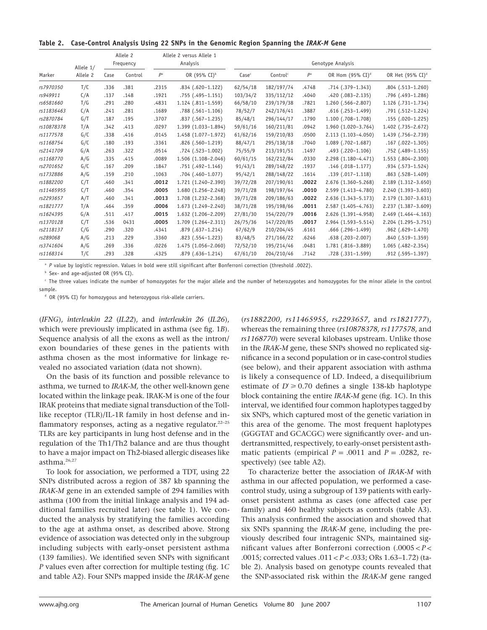|  |  |  |  | Table 2. Case-Control Analysis Using 22 SNPs in the Genomic Region Spanning the IRAK-M Gene |
|--|--|--|--|---------------------------------------------------------------------------------------------|
|--|--|--|--|---------------------------------------------------------------------------------------------|

|            | Allele 1/ |      | Allele 2<br>Allele 2 versus Allele 1<br>Analysis<br>Frequency |             | Genotype Analysis        |                   |                      |             |                                 |                              |
|------------|-----------|------|---------------------------------------------------------------|-------------|--------------------------|-------------------|----------------------|-------------|---------------------------------|------------------------------|
| Marker     | Allele 2  | Case | Control                                                       | $P^{\rm a}$ | OR (95% CI) <sup>b</sup> | Case <sup>c</sup> | Control <sup>c</sup> | $P^{\rm a}$ | OR Hom (95% $CI$ ) <sup>d</sup> | OR Het (95% CI) <sup>d</sup> |
| rs7970350  | T/C       | .336 | .381                                                          | .2315       | $.834$ $(.620-1.122)$    | 62/54/18          | 182/197/74           | .4748       | $.714$ $(.379-1.343)$           | $.804$ $(.513 - 1.260)$      |
| rs949911   | C/A       | .137 | .148                                                          | .1921       | $.755(.495-1.151)$       | 103/34/2          | 335/112/12           | .4040       | $.420(.083 - 2.135)$            | $.796$ $(.493-1.286)$        |
| rs6581660  | T/G       | .291 | .280                                                          | .4831       | $1.124$ $(.811-1.559)$   | 66/58/10          | 239/179/38           | .7821       | $1.260$ $(.566 - 2.807)$        | $1.126$ $(.731-1.734)$       |
| rs11836463 | C/A       | .241 | .281                                                          | .1689       | $.788(.561-1.106)$       | 78/52/7           | 242/176/41           | .3887       | $.616(.253-1.499)$              | $.791(.512-1.224)$           |
| rs2870784  | G/T       | .187 | .195                                                          | .3707       | $.837$ $(.567-1.235)$    | 85/48/1           | 296/144/17           | .1790       | 1.100 (.708-1.708)              | $.155$ $(.020-1.225)$        |
| rs10878378 | T/A       | .342 | .413                                                          | .0297       | 1.399 (1.033-1.894)      | 59/61/16          | 160/211/81           | .0942       | 1.960 (1.020-3.764)             | $1.402$ (.735-2.672)         |
| rs1177578  | G/C       | .338 | .416                                                          | .0145       | 1.458 (1.077-1.972)      | 61/62/16          | 159/210/83           | .0500       | 2.113 (1.103-4.050)             | 1.439 (.756-2.739)           |
| rs1168754  | G/C       | .180 | .193                                                          | .3361       | $.826(.560-1.219)$       | 88/47/1           | 295/138/18           | .7040       | $1.089$ $(.702-1.687)$          | $.167$ $(.022-1.305)$        |
| rs2141709  | G/A       | .263 | .322                                                          | .0514       | $.724$ $(.523-1.002)$    | 75/55/9           | 213/191/51           | .1497       | $.493$ $(.220-1.106)$           | $.752$ $(.489-1.155)$        |
| rs1168770  | A/G       | .335 | .415                                                          | .0089       | $1.506(1.108 - 2.046)$   | 60/61/15          | 162/212/84           | .0330       | 2.298 (1.180-4.471)             | $1.553$ $(.804 - 2.300)$     |
| rs2701652  | G/C       | .167 | .209                                                          | .1847       | $.751$ $(.492-1.146)$    | 91/43/1           | 289/148/22           | .1937       | $.146(.018-1.177)$              | $.934$ $(.573 - 1.524)$      |
| rs1732886  | A/G       | .159 | .210                                                          | .1063       | $.704$ $(.460-1.077)$    | 95/42/1           | 288/148/22           | .1614       | $.139$ $(.017-1.118)$           | $.863$ $(.528-1.409)$        |
| rs1882200  | C/T       | .460 | .341                                                          | .0012       | 1.721 (1.240-2.390)      | 39/72/28          | 207/190/61           | .0022       | 2.676 (1.360-5.268)             | 2.189 (1.312-3.650)          |
| rs11465955 | C/T       | .460 | .354                                                          | .0005       | 1.680 (1.256-2.248)      | 39/71/28          | 198/197/64           | .0010       | 2.599 (1.413-4.780)             | 2.240 (1.393-3.603)          |
| rs2293657  | A/T       | .460 | .341                                                          | .0013       | 1.708 (1.232-2.368)      | 39/71/28          | 209/186/63           | .0022       | 2.636 (1.343-5.173)             | 2.179 (1.307-3.631)          |
| rs1821777  | T/A       | .464 | .359                                                          | .0006       | 1.673 (1.249-2.240)      | 38/71/28          | 195/198/66           | .0011       | 2.587 (1.405-4.763)             | 2.237 (1.387-3.609)          |
| rs1624395  | G/A       | .511 | .417                                                          | .0015       | $1.632(1.206 - 2.209)$   | 27/81/30          | 154/220/79           | .0016       | 2.626 (1.391-4.958)             | 2.469 (1.464-4.163)          |
| rs1370128  | C/T       | .536 | 0431                                                          | .0005       | 1.709 (1.264-2.311)      | 26/75/36          | 147/220/85           | .0017       | 2.964 (1.593-5.514)             | 2.204 (1.295-3.751)          |
| rs2118137  | C/G       | .290 | .320                                                          | .4341       | $.879$ $(.637-1.214)$    | 67/62/9           | 210/204/45           | .6161       | $.666$ $(.296-1.499)$           | $.962$ $(.629-1.470)$        |
| rs289068   | A/G       | .213 | .229                                                          | .3360       | $.823$ $(.554-1.223)$    | 83/48/5           | 271/166/22           | .6246       | $.638(.203 - 2.007)$            | $.840$ $(.519-1.359)$        |
| rs3741604  | A/G       | .269 | .336                                                          | .0226       | 1.475 (1.056-2.060)      | 72/52/10          | 195/214/46           | .0481       | 1.781 (.816-3.889)              | $1.065$ $(.482 - 2.354)$     |
| rs1168314  | T/C       | .293 | .328                                                          | .4325       | $.879$ $(.636-1.214)$    | 67/61/10          | 204/210/46           | .7142       | $.728$ $(.331-1.599)$           | $.912$ (.595-1.397)          |

<sup>a</sup> *P* value by logistic regression. Values in bold were still significant after Bonferroni correction (threshold .0022).

**b** Sex- and age-adjusted OR (95% CI).

<sup>c</sup> The three values indicate the number of homozygotes for the major allele and the number of heterozygotes and homozygotes for the minor allele in the control sample.

<sup>d</sup> OR (95% CI) for homozygous and heterozygous risk-allele carriers.

(*IFNG*), *interleukin 22* (*IL22*), and *interleukin 26* (*IL26*), which were previously implicated in asthma (see fig. 1*B*). Sequence analysis of all the exons as well as the intron/ exon boundaries of these genes in the patients with asthma chosen as the most informative for linkage revealed no associated variation (data not shown).

On the basis of its function and possible relevance to asthma, we turned to *IRAK-M,* the other well-known gene located within the linkage peak. IRAK-M is one of the four IRAK proteins that mediate signal transduction of the Tolllike receptor (TLR)/IL-1R family in host defense and inflammatory responses, acting as a negative regulator. $22-25$ TLRs are key participants in lung host defense and in the regulation of the Th1/Th2 balance and are thus thought to have a major impact on Th2-biased allergic diseases like asthma.26,27

To look for association, we performed a TDT, using 22 SNPs distributed across a region of 387 kb spanning the *IRAK-M* gene in an extended sample of 294 families with asthma (100 from the initial linkage analysis and 194 additional families recruited later) (see table 1). We conducted the analysis by stratifying the families according to the age at asthma onset, as described above. Strong evidence of association was detected only in the subgroup including subjects with early-onset persistent asthma (139 families). We identified seven SNPs with significant *P* values even after correction for multiple testing (fig. 1*C* and table A2). Four SNPs mapped inside the *IRAK-M* gene

(*rs1882200, rs11465955, rs2293657,* and *rs1821777*), whereas the remaining three (*rs10878378, rs1177578,* and *rs1168770*) were several kilobases upstream. Unlike those in the *IRAK-M* gene, these SNPs showed no replicated significance in a second population or in case-control studies (see below), and their apparent association with asthma is likely a consequence of LD. Indeed, a disequilibrium estimate of  $D \ge 0.70$  defines a single 138-kb haplotype block containing the entire *IRAK-M* gene (fig. 1*C*). In this interval, we identified four common haplotypes tagged by six SNPs, which captured most of the genetic variation in this area of the genome. The most frequent haplotypes (GGGTAT and GCACGC) were significantly over- and undertransmitted, respectively, to early-onset persistent asthmatic patients (empirical  $P = .0011$  and  $P = .0282$ , respectively) (see table A2).

To characterize better the association of *IRAK-M* with asthma in our affected population, we performed a casecontrol study, using a subgroup of 139 patients with earlyonset persistent asthma as cases (one affected case per family) and 460 healthy subjects as controls (table A3). This analysis confirmed the association and showed that six SNPs spanning the *IRAK-M* gene, including the previously described four intragenic SNPs, maintained significant values after Bonferroni correction (.0005 < P < .0015; corrected values .011 < *P* < .033; ORs 1.63-1.72) (table 2). Analysis based on genotype counts revealed that the SNP-associated risk within the *IRAK-M* gene ranged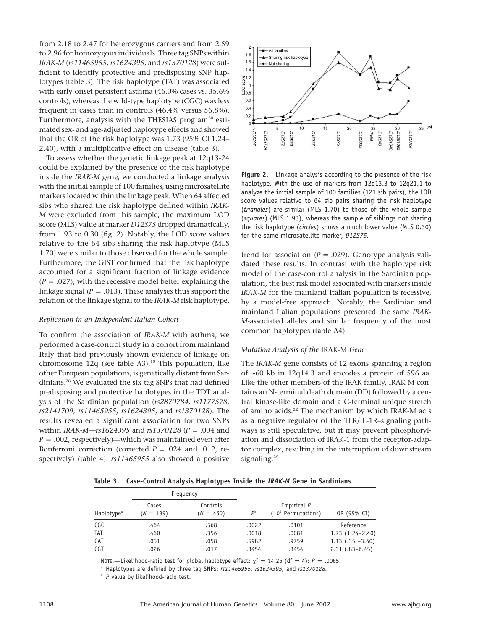from 2.18 to 2.47 for heterozygous carriers and from 2.59 to 2.96 for homozygous individuals. Three tag SNPs within *IRAK-M* (*rs11465955, rs1624395,* and *rs1370128*) were sufficient to identify protective and predisposing SNP haplotypes (table 3). The risk haplotype (TAT) was associated with early-onset persistent asthma (46.0% cases vs. 35.6% controls), whereas the wild-type haplotype (CGC) was less frequent in cases than in controls (46.4% versus 56.8%). Furthermore, analysis with the THESIAS program<sup>20</sup> estimated sex- and age-adjusted haplotype effects and showed that the OR of the risk haplotype was 1.73 (95% CI 1.24– 2.40), with a multiplicative effect on disease (table 3).

To assess whether the genetic linkage peak at 12q13-24 could be explained by the presence of the risk haplotype inside the *IRAK-M* gene, we conducted a linkage analysis with the initial sample of 100 families, using microsatellite markers located within the linkage peak. When 64 affected sibs who shared the risk haplotype defined within *IRAK-M* were excluded from this sample, the maximum LOD score (MLS) value at marker *D12S75* dropped dramatically, from 1.93 to 0.30 (fig. 2). Notably, the LOD score values relative to the 64 sibs sharing the risk haplotype (MLS 1.70) were similar to those observed for the whole sample. Furthermore, the GIST confirmed that the risk haplotype accounted for a significant fraction of linkage evidence  $(P = .027)$ , with the recessive model better explaining the linkage signal ( $P = .013$ ). These analyses thus support the relation of the linkage signal to the *IRAK-M* risk haplotype.

#### *Replication in an Independent Italian Cohort*

To confirm the association of *IRAK-M* with asthma, we performed a case-control study in a cohort from mainland Italy that had previously shown evidence of linkage on chromosome  $12q$  (see table A3).<sup>10</sup> This population, like other European populations, is genetically distant from Sardinians.28 We evaluated the six tag SNPs that had defined predisposing and protective haplotypes in the TDT analysis of the Sardinian population (*rs2870784, rs1177578, rs2141709, rs11465955, rs1624395,* and *rs1370128*). The results revealed a significant association for two SNPs within *IRAK-M—rs1624395* and  $rs1370128$  ( $P = .004$  and  $P = .002$ , respectively)—which was maintained even after Bonferroni correction (corrected  $P = .024$  and .012, respectively) (table 4). *rs11465955* also showed a positive



**Figure 2.** Linkage analysis according to the presence of the risk haplotype. With the use of markers from 12q13.3 to 12q21.1 to analyze the initial sample of 100 families (121 sib pairs), the LOD score values relative to 64 sib pairs sharing the risk haplotype (*triangles*) are similar (MLS 1.70) to those of the whole sample (*squares*) (MLS 1.93), whereas the sample of siblings not sharing the risk haplotype (*circles*) shows a much lower value (MLS 0.30) for the same microsatellite marker, *D12S75.*

trend for association ( $P = .029$ ). Genotype analysis validated these results. In contrast with the haplotype risk model of the case-control analysis in the Sardinian population, the best risk model associated with markers inside *IRAK-M* for the mainland Italian population is recessive, by a model-free approach. Notably, the Sardinian and mainland Italian populations presented the same *IRAK-M*-associated alleles and similar frequency of the most common haplotypes (table A4).

#### *Mutation Analysis of the* IRAK-M *Gene*

The *IRAK-M* gene consists of 12 exons spanning a region of ∼60 kb in 12q14.3 and encodes a protein of 596 aa. Like the other members of the IRAK family, IRAK-M contains an N-terminal death domain (DD) followed by a central kinase-like domain and a C-terminal unique stretch of amino acids.<sup>22</sup> The mechanism by which IRAK-M acts as a negative regulator of the TLR/IL-1R–signaling pathways is still speculative, but it may prevent phosphorylation and dissociation of IRAK-1 from the receptor-adaptor complex, resulting in the interruption of downstream signaling.<sup>25</sup>

**Table 3. Case-Control Analysis Haplotypes Inside the** *IRAK-M* **Gene in Sardinians**

|                        |                      | Frequency               |                |                                                 |                       |  |
|------------------------|----------------------|-------------------------|----------------|-------------------------------------------------|-----------------------|--|
| Haplotype <sup>a</sup> | Cases<br>$(N = 139)$ | Controls<br>$(N = 460)$ | P <sup>b</sup> | Empirical $P$<br>(10 <sup>5</sup> Permutations) | OR (95% CI)           |  |
| CGC                    | .464                 | .568                    | .0022          | .0101                                           | Reference             |  |
| <b>TAT</b>             | .460                 | .356                    | .0018          | .0081                                           | $1.73(1.24 - 2.40)$   |  |
| CAT                    | .051                 | .058                    | .5982          | .9759                                           | $1.13$ $(.35 - 3.60)$ |  |
| <b>CGT</b>             | .026                 | .017                    | .3454          | .3454                                           | $2.31(.83-6.45)$      |  |

NOTE.—Likelihood-ratio test for global haplotype effect:  $\chi^2 = 14.26$  (df = 4); P = .0065.

<sup>a</sup> Haplotypes are defined by three tag SNPs: *rs11465955, rs1624395,* and *rs1370128.*

<sup>b</sup> *P* value by likelihood-ratio test.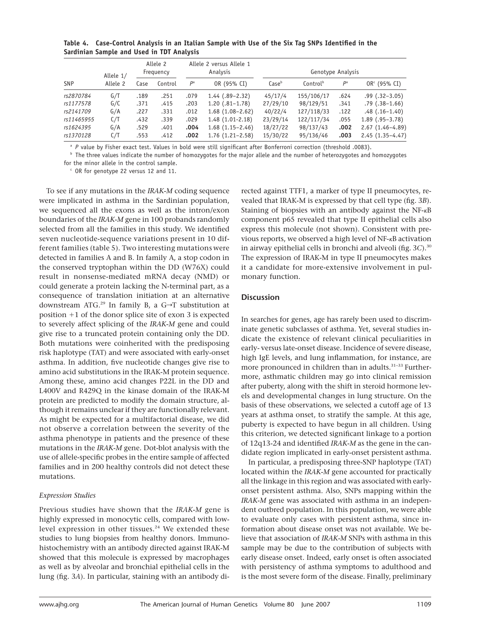|            |          | Allele 1/ |         | Allele 2<br>Allele 2 versus Allele 1<br>Analysis<br>Frequency |                     |                   | Genotype Analysis    |             |                     |
|------------|----------|-----------|---------|---------------------------------------------------------------|---------------------|-------------------|----------------------|-------------|---------------------|
| SNP        | Allele 2 | Case      | Control | $P^a$                                                         | OR (95% CI)         | Case <sup>b</sup> | Control <sup>b</sup> | $P^{\rm a}$ | $ORc$ (95% CI)      |
| rs2870784  | G/T      | .189      | .251    | .079                                                          | $1.44$ $(.89-2.32)$ | 45/17/4           | 155/106/17           | .624        | $.99$ $(.32-3.05)$  |
| rs1177578  | G/C      | .371      | .415    | .203                                                          | $1.20(.81-1.78)$    | 27/29/10          | 98/129/51            | .341        | $.79$ $(.38-1.66)$  |
| rs2141709  | G/A      | .227      | .331    | .012                                                          | $1.68(1.08-2.62)$   | 40/22/4           | 127/118/33           | .122        | $.48$ $(.16-1.40)$  |
| rs11465955 | C/T      | .432      | .339    | .029                                                          | $1.48(1.01-2.18)$   | 23/29/14          | 122/117/34           | .055        | $1.89$ $(.95-3.78)$ |
| rs1624395  | G/A      | .529      | .401    | .004                                                          | $1.68(1.15-2.46)$   | 18/27/22          | 98/137/43            | .002        | $2.67(1.46-4.89)$   |
| rs1370128  | C/T      | .553      | .412    | .002                                                          | $1.76(1.21-2.58)$   | 15/30/22          | 95/136/46            | .003        | $2.45(1.35-4.47)$   |

**Table 4. Case-Control Analysis in an Italian Sample with Use of the Six Tag SNPs Identified in the Sardinian Sample and Used in TDT Analysis**

<sup>a</sup> *P* value by Fisher exact test. Values in bold were still significant after Bonferroni correction (threshold .0083).

**b** The three values indicate the number of homozygotes for the major allele and the number of heterozygotes and homozygotes for the minor allele in the control sample.

<sup>c</sup> OR for genotype 22 versus 12 and 11.

To see if any mutations in the *IRAK-M* coding sequence were implicated in asthma in the Sardinian population, we sequenced all the exons as well as the intron/exon boundaries of the *IRAK-M* gene in 100 probands randomly selected from all the families in this study. We identified seven nucleotide-sequence variations present in 10 different families (table 5). Two interesting mutations were detected in families A and B. In family A, a stop codon in the conserved tryptophan within the DD (W76X) could result in nonsense-mediated mRNA decay (NMD) or could generate a protein lacking the N-terminal part, as a consequence of translation initiation at an alternative downstream ATG.<sup>29</sup> In family B, a G- $T$  substitution at position  $+1$  of the donor splice site of exon 3 is expected to severely affect splicing of the *IRAK-M* gene and could give rise to a truncated protein containing only the DD. Both mutations were coinherited with the predisposing risk haplotype (TAT) and were associated with early-onset asthma. In addition, five nucleotide changes give rise to amino acid substitutions in the IRAK-M protein sequence. Among these, amino acid changes P22L in the DD and L400V and R429Q in the kinase domain of the IRAK-M protein are predicted to modify the domain structure, although it remains unclear if they are functionally relevant. As might be expected for a multifactorial disease, we did not observe a correlation between the severity of the asthma phenotype in patients and the presence of these mutations in the *IRAK-M* gene. Dot-blot analysis with the use of allele-specific probes in the entire sample of affected families and in 200 healthy controls did not detect these mutations.

## *Expression Studies*

Previous studies have shown that the *IRAK-M* gene is highly expressed in monocytic cells, compared with lowlevel expression in other tissues.<sup>24</sup> We extended these studies to lung biopsies from healthy donors. Immunohistochemistry with an antibody directed against IRAK-M showed that this molecule is expressed by macrophages as well as by alveolar and bronchial epithelial cells in the lung (fig. 3*A*). In particular, staining with an antibody di-

rected against TTF1, a marker of type II pneumocytes, revealed that IRAK-M is expressed by that cell type (fig. 3*B*). Staining of biopsies with an antibody against the NF-kB component p65 revealed that type II epithelial cells also express this molecule (not shown). Consistent with previous reports, we observed a high level of NF-kB activation in airway epithelial cells in bronchi and alveoli (fig. 3*C*).30 The expression of IRAK-M in type II pneumocytes makes it a candidate for more-extensive involvement in pulmonary function.

# **Discussion**

In searches for genes, age has rarely been used to discriminate genetic subclasses of asthma. Yet, several studies indicate the existence of relevant clinical peculiarities in early- versus late-onset disease. Incidence of severe disease, high IgE levels, and lung inflammation, for instance, are more pronounced in children than in adults.<sup>31-33</sup> Furthermore, asthmatic children may go into clinical remission after puberty, along with the shift in steroid hormone levels and developmental changes in lung structure. On the basis of these observations, we selected a cutoff age of 13 years at asthma onset, to stratify the sample. At this age, puberty is expected to have begun in all children. Using this criterion, we detected significant linkage to a portion of 12q13-24 and identified *IRAK-M* as the gene in the candidate region implicated in early-onset persistent asthma.

In particular, a predisposing three-SNP haplotype (TAT) located within the *IRAK-M* gene accounted for practically all the linkage in this region and was associated with earlyonset persistent asthma. Also, SNPs mapping within the *IRAK-M* gene was associated with asthma in an independent outbred population. In this population, we were able to evaluate only cases with persistent asthma, since information about disease onset was not available. We believe that association of *IRAK-M* SNPs with asthma in this sample may be due to the contribution of subjects with early disease onset. Indeed, early onset is often associated with persistency of asthma symptoms to adulthood and is the most severe form of the disease. Finally, preliminary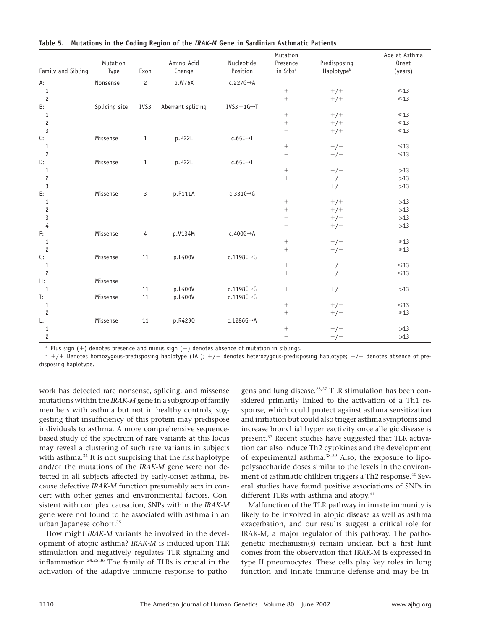| Family and Sibling | Mutation<br>Type | Exon           | Amino Acid<br>Change | Nucleotide<br>Position   | Mutation<br>Presence<br>in Sibs <sup>a</sup> | Predisposing<br>Haplotype <sup>b</sup> | Age at Asthma<br>Onset<br>(years) |
|--------------------|------------------|----------------|----------------------|--------------------------|----------------------------------------------|----------------------------------------|-----------------------------------|
| A:                 | Nonsense         | $\overline{c}$ | p.W76X               | $c.227G \rightarrow A$   |                                              |                                        |                                   |
| $\mathbf{1}$       |                  |                |                      |                          |                                              | $+/+$                                  | $\leq 13$                         |
| $\overline{c}$     |                  |                |                      |                          | $^{+}$                                       | $+/+$                                  | $\leq 13$                         |
| B:                 | Splicing site    | IVS3           | Aberrant splicing    | $IVS3+1G\rightarrow T$   |                                              |                                        |                                   |
| 1                  |                  |                |                      |                          | $^{+}$                                       | $+/+$                                  | $\leq 13$                         |
| $\overline{c}$     |                  |                |                      |                          | $^{+}$                                       | $+/+$                                  | $\leq 13$                         |
| 3                  |                  |                |                      |                          | $\overline{\phantom{0}}$                     | $+/+$                                  | $\leq 13$                         |
| C:                 | Missense         | $\mathbf{1}$   | p.P22L               | $c.65C \rightarrow T$    |                                              |                                        |                                   |
| $\mathbf{1}$       |                  |                |                      |                          | $\qquad \qquad +$                            | $-/-$                                  | $\leq 13$                         |
| $\overline{c}$     |                  |                |                      |                          |                                              | $-/-$                                  | $\leq 13$                         |
| D:                 | Missense         | $\mathbf{1}$   | p.P22L               | $c.65C \rightarrow T$    |                                              |                                        |                                   |
| 1                  |                  |                |                      |                          | $^{+}$                                       | $-/-$                                  | $>13$                             |
| $\overline{c}$     |                  |                |                      |                          | $^{+}$                                       | $-/-$                                  | $>13$                             |
| 3                  |                  |                |                      |                          | $\overline{\phantom{0}}$                     | $+/-$                                  | $>13$                             |
| E:                 | Missense         | 3              | p.P111A              | c.331 $C \rightarrow G$  |                                              |                                        |                                   |
| 1                  |                  |                |                      |                          | $^{+}$                                       | $+/+$                                  | $>13$                             |
| $\overline{c}$     |                  |                |                      |                          | $^{+}$                                       | $+/+$                                  | $>13$                             |
| 3                  |                  |                |                      |                          | $\overline{\phantom{0}}$                     | $+/-$                                  | $>13$                             |
| 4                  |                  |                |                      |                          |                                              | $+/-$                                  | $>13$                             |
| F:                 | Missense         | $\overline{4}$ | p.V134M              | $c.400G \rightarrow A$   |                                              |                                        |                                   |
| 1                  |                  |                |                      |                          | $^{+}$                                       | $-/-$                                  | $\leq 13$                         |
| $\overline{c}$     |                  |                |                      |                          | $^{+}$                                       | $-/-$                                  | $\leq 13$                         |
| G:                 | Missense         | 11             | p.L400V              | $c.1198C \rightarrow G$  |                                              |                                        |                                   |
| 1                  |                  |                |                      |                          | $^{+}$                                       | $-/-$                                  | $\leq 13$                         |
| $\overline{c}$     |                  |                |                      |                          | $\! + \!\!\!\!$                              | $-/-$                                  | $\leq 13$                         |
| H:                 | Missense         |                |                      |                          |                                              |                                        |                                   |
| 1                  |                  | 11             | p.L400V              | c.1198 $C \rightarrow G$ | $+$                                          | $+/-$                                  | $>13$                             |
| $\mathbf{I}$ :     | Missense         | 11             | p.L400V              | c.1198 $C \rightarrow G$ |                                              |                                        |                                   |
| 1                  |                  |                |                      |                          | $^{+}$                                       | $+/-$                                  | $\leq 13$                         |
| $\overline{c}$     |                  |                |                      |                          | $^{+}$                                       | $+/-$                                  | $\leq 13$                         |
| Ŀ:                 | Missense         | 11             | p.R429Q              | $c.1286G \rightarrow A$  |                                              |                                        |                                   |
| 1                  |                  |                |                      |                          | $\qquad \qquad +$                            | $-/-$                                  | $>13$                             |
| 2                  |                  |                |                      |                          |                                              | $-/-$                                  | $>13$                             |

**Table 5. Mutations in the Coding Region of the** *IRAK-M* **Gene in Sardinian Asthmatic Patients**

 $^{\circ}$  Plus sign (+) denotes presence and minus sign (-) denotes absence of mutation in siblings.

 $^{\circ}$  +/+ Denotes homozygous-predisposing haplotype (TAT); +/- denotes heterozygous-predisposing haplotype; -/- denotes absence of predisposing haplotype.

work has detected rare nonsense, splicing, and missense mutations within the *IRAK-M* gene in a subgroup of family members with asthma but not in healthy controls, suggesting that insufficiency of this protein may predispose individuals to asthma. A more comprehensive sequencebased study of the spectrum of rare variants at this locus may reveal a clustering of such rare variants in subjects with asthma.<sup>34</sup> It is not surprising that the risk haplotype and/or the mutations of the *IRAK-M* gene were not detected in all subjects affected by early-onset asthma, because defective *IRAK-M* function presumably acts in concert with other genes and environmental factors. Consistent with complex causation, SNPs within the *IRAK-M* gene were not found to be associated with asthma in an urban Japanese cohort.<sup>35</sup>

How might *IRAK-M* variants be involved in the development of atopic asthma? *IRAK-M* is induced upon TLR stimulation and negatively regulates TLR signaling and inflammation.24,25,36 The family of TLRs is crucial in the activation of the adaptive immune response to pathogens and lung disease.<sup>23,27</sup> TLR stimulation has been considered primarily linked to the activation of a Th1 response, which could protect against asthma sensitization and initiation but could also trigger asthma symptoms and increase bronchial hyperreactivity once allergic disease is present.37 Recent studies have suggested that TLR activation can also induce Th2 cytokines and the development of experimental asthma.38,39 Also, the exposure to lipopolysaccharide doses similar to the levels in the environment of asthmatic children triggers a Th2 response.<sup>40</sup> Several studies have found positive associations of SNPs in different TLRs with asthma and atopy.<sup>41</sup>

Malfunction of the TLR pathway in innate immunity is likely to be involved in atopic disease as well as asthma exacerbation, and our results suggest a critical role for IRAK-M, a major regulator of this pathway. The pathogenetic mechanism(s) remain unclear, but a first hint comes from the observation that IRAK-M is expressed in type II pneumocytes. These cells play key roles in lung function and innate immune defense and may be in-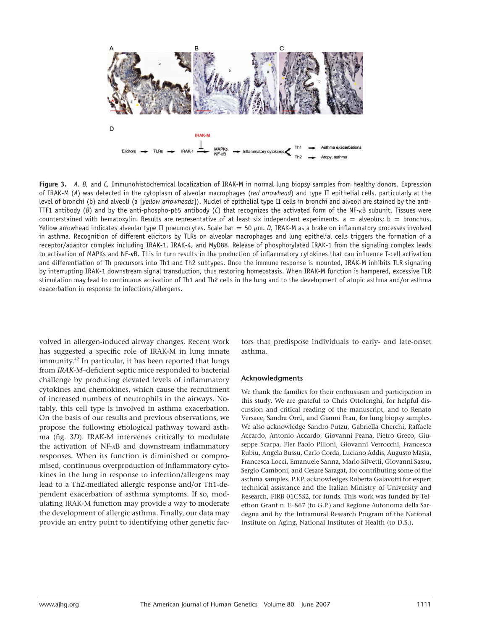

**Figure 3.** *A, B,* and *C,* Immunohistochemical localization of IRAK-M in normal lung biopsy samples from healthy donors. Expression of IRAK-M (*A*) was detected in the cytoplasm of alveolar macrophages (*red arrowhead*) and type II epithelial cells, particularly at the level of bronchi (b) and alveoli (a [*yellow arrowheads*]). Nuclei of epithelial type II cells in bronchi and alveoli are stained by the anti-TTF1 antibody (*B*) and by the anti-phospho-p65 antibody (*C*) that recognizes the activated form of the NF-kB subunit. Tissues were counterstained with hematoxylin. Results are representative of at least six independent experiments.  $a = abcolus; b = bronchus.$ Yellow arrowhead indicates alveolar type II pneumocytes. Scale bar = 50  $\mu$ m. *D*, IRAK-M as a brake on inflammatory processes involved in asthma. Recognition of different elicitors by TLRs on alveolar macrophages and lung epithelial cells triggers the formation of a receptor/adaptor complex including IRAK-1, IRAK-4, and MyD88. Release of phosphorylated IRAK-1 from the signaling complex leads to activation of MAPKs and NF-kB. This in turn results in the production of inflammatory cytokines that can influence T-cell activation and differentiation of Th precursors into Th1 and Th2 subtypes. Once the immune response is mounted, IRAK-M inhibits TLR signaling by interrupting IRAK-1 downstream signal transduction, thus restoring homeostasis. When IRAK-M function is hampered, excessive TLR stimulation may lead to continuous activation of Th1 and Th2 cells in the lung and to the development of atopic asthma and/or asthma exacerbation in response to infections/allergens.

volved in allergen-induced airway changes. Recent work has suggested a specific role of IRAK-M in lung innate immunity.42 In particular, it has been reported that lungs from *IRAK-M*–deficient septic mice responded to bacterial challenge by producing elevated levels of inflammatory cytokines and chemokines, which cause the recruitment of increased numbers of neutrophils in the airways. Notably, this cell type is involved in asthma exacerbation. On the basis of our results and previous observations, we propose the following etiological pathway toward asthma (fig. 3*D*). IRAK-M intervenes critically to modulate the activation of NF-kB and downstream inflammatory responses. When its function is diminished or compromised, continuous overproduction of inflammatory cytokines in the lung in response to infection/allergens may lead to a Th2-mediated allergic response and/or Th1-dependent exacerbation of asthma symptoms. If so, modulating IRAK-M function may provide a way to moderate the development of allergic asthma. Finally, our data may provide an entry point to identifying other genetic fac-

tors that predispose individuals to early- and late-onset asthma.

#### **Acknowledgments**

We thank the families for their enthusiasm and participation in this study. We are grateful to Chris Ottolenghi, for helpful discussion and critical reading of the manuscript, and to Renato Versace, Sandra Orrù, and Gianni Frau, for lung biopsy samples. We also acknowledge Sandro Putzu, Gabriella Cherchi, Raffaele Accardo, Antonio Accardo, Giovanni Peana, Pietro Greco, Giuseppe Scarpa, Pier Paolo Pilloni, Giovanni Verrocchi, Francesca Rubiu, Angela Bussu, Carlo Corda, Luciano Addis, Augusto Masìa, Francesca Locci, Emanuele Sanna, Mario Silvetti, Giovanni Sassu, Sergio Camboni, and Cesare Saragat, for contributing some of the asthma samples. P.F.P. acknowledges Roberta Galavotti for expert technical assistance and the Italian Ministry of University and Research, FIRB 01C5S2, for funds. This work was funded by Telethon Grant n. E·867 (to G.P.) and Regione Autonoma della Sardegna and by the Intramural Research Program of the National Institute on Aging, National Institutes of Health (to D.S.).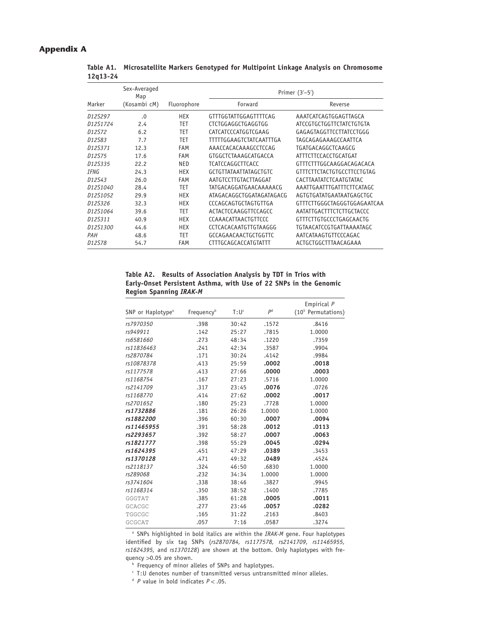# **Appendix A**

| Sex-Averaged<br>Map |              |             | Primer $(3'-5')$             |                                   |  |  |
|---------------------|--------------|-------------|------------------------------|-----------------------------------|--|--|
| Marker              | (Kosambi cM) | Fluorophore | Forward                      | Reverse                           |  |  |
| D12S297             | .0           | <b>HEX</b>  | GTTTGGTATTGGAGTTTTCAG        | AAATCATCAGTGGAGTTAGCA             |  |  |
| D12S1724            | 2.4          | <b>TET</b>  | CTCTGGAGGCTGAGGTGG           | ATCCGTGCTGGTTCTATCTGTGTA          |  |  |
| D12S72              | 6.2          | <b>TET</b>  | CATCATCCCATGGTCGAAG          | GAGAGTAGGTTCCTTATCCTGGG           |  |  |
| D12S83              | 7.7          | <b>TET</b>  | TTTTTGGAAGTCTATCAATTTGA      | TAGCAGAGAAAGCCAATTCA              |  |  |
| D12S371             | 12.3         | <b>FAM</b>  | AAACCACACAAAGCCTCCAG         | TGATGACAGGCTCAAGCG                |  |  |
| D12S75              | 17.6         | <b>FAM</b>  | GTGGCTCTAAAGCATGACCA         | ATTTCTTCCACCTGCATGAT              |  |  |
| D12S335             | 22.2         | NED         | TCATCCAGGCTTCACC             | GTTTCTTTGGCAAGGACAGACACA          |  |  |
| IFNG                | 24.3         | <b>HEX</b>  | <b>GCTGTTATAATTATAGCTGTC</b> | <b>GTTTCTTCTACTGTGCCTTCCTGTAG</b> |  |  |
| D12S43              | 26.0         | <b>FAM</b>  | AATGTCCTTGTACTTAGGAT         | CACTTAATATCTCAATGTATAC            |  |  |
| D12S1040            | 28.4         | <b>TET</b>  | TATGACAGGATGAACAAAAACG       | AAATTGAATTTGATTTCTTCATAGC         |  |  |
| D12S1052            | 29.9         | <b>HEX</b>  | ATAGACAGGCTGGATAGATAGACG     | AGTGTGATATGAATAATGAGCTGC          |  |  |
| D12S326             | 32.3         | <b>HEX</b>  | CCCAGCAGTGCTAGTGTTGA         | GTTTCTTGGGCTAGGGTGGAGAATCAA       |  |  |
| D12S1064            | 39.6         | <b>TET</b>  | ACTACTCCAAGGTTCCAGCC         | AATATTGACTTTCTCTTGCTACCC          |  |  |
| D12S311             | 40.9         | <b>HEX</b>  | CCAAACATTAACTGTTCCC          | GTTTCTTGTGCCCTGAGCAACTG           |  |  |
| D12S1300            | 44.6         | <b>HEX</b>  | CCTCACACAATGTTGTAAGGG        | TGTAACATCCGTGATTAAAATAGC          |  |  |
| PAH                 | 48.6         | <b>TET</b>  | GCCAGAACAACTGCTGGTTC         | AATCATAAGTGTTCCCAGAC              |  |  |
| D12S78              | 54.7         | FAM         | CTTTGCAGCACCATGTATTT         | ACTGCTGGCTTTAACAGAAA              |  |  |

**Table A1. Microsatellite Markers Genotyped for Multipoint Linkage Analysis on Chromosome 12q13-24**

**Table A2. Results of Association Analysis by TDT in Trios with Early-Onset Persistent Asthma, with Use of 22 SNPs in the Genomic Region Spanning** *IRAK-M*

| SNP or Haplotype <sup>a</sup> | Frequency <sup>b</sup> | $T:U^c$ | P <sup>d</sup> | Empirical P<br>(10 <sup>5</sup> Permutations) |
|-------------------------------|------------------------|---------|----------------|-----------------------------------------------|
| rs7970350                     | .398                   | 30:42   | .1572          | .8416                                         |
| rs949911                      | .142                   | 25:27   | .7815          | 1.0000                                        |
| rs6581660                     | .273                   | 48:34   | .1220          | .7359                                         |
| rs11836463                    | .241                   | 42:34   | .3587          | .9904                                         |
| rs2870784                     | .171                   | 30:24   | .4142          | .9984                                         |
| rs10878378                    | .413                   | 25:59   | .0002          | .0018                                         |
| rs1177578                     | .413                   | 27:66   | .0000          | .0003                                         |
| rs1168754                     | .167                   | 27:23   | .5716          | 1.0000                                        |
| rs2141709                     | .317                   | 23:45   | .0076          | .0726                                         |
| rs1168770                     | .414                   | 27:62   | .0002          | .0017                                         |
| rs2701652                     | .180                   | 25:23   | .7728          | 1.0000                                        |
| rs1732886                     | .181                   | 26:26   | 1.0000         | 1.0000                                        |
| rs1882200                     | .396                   | 60:30   | .0007          | .0094                                         |
| rs11465955                    | .391                   | 58:28   | .0012          | .0113                                         |
| rs2293657                     | .392                   | 58:27   | .0007          | .0063                                         |
| rs1821777                     | .398                   | 55:29   | .0045          | .0294                                         |
| rs1624395                     | .451                   | 47:29   | .0389          | .3453                                         |
| rs1370128                     | .471                   | 49:32   | .0489          | .4524                                         |
| rs2118137                     | .324                   | 46:50   | .6830          | 1.0000                                        |
| rs289068                      | .232                   | 34:34   | 1.0000         | 1.0000                                        |
| rs3741604                     | .338                   | 38:46   | .3827          | .9945                                         |
| rs1168314                     | .350                   | 38:52   | .1400          | .7785                                         |
| GGGTAT                        | .385                   | 61:28   | .0005          | .0011                                         |
| GCACGC                        | .277                   | 23:46   | .0057          | .0282                                         |
| TGGCGC                        | .165                   | 31:22   | .2163          | .8403                                         |
| GCGCAT                        | .057                   | 7:16    | .0587          | .3274                                         |

<sup>a</sup> SNPs highlighted in bold italics are within the *IRAK-M* gene. Four haplotypes identified by six tag SNPs (*rs2870784, rs1177578, rs2141709, rs11465955, rs1624395,* and *rs1370128*) are shown at the bottom. Only haplotypes with frequency  $>0.05$  are shown.

**b** Frequency of minor alleles of SNPs and haplotypes.

<sup>c</sup> T:U denotes number of transmitted versus untransmitted minor alleles.

 $\sigma$  *P* value in bold indicates  $P < .05$ .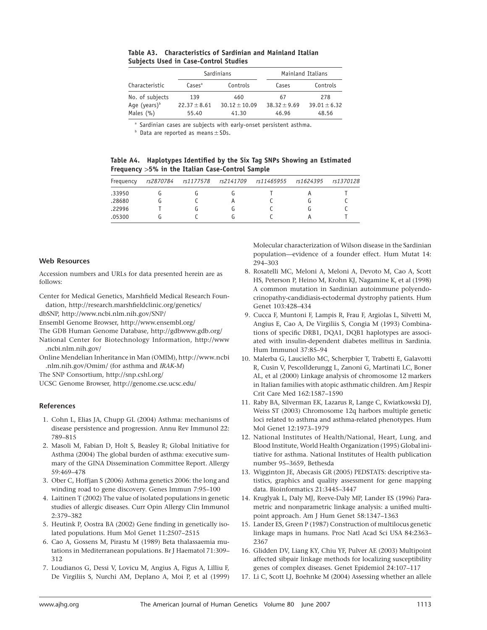| Table A3. Characteristics of Sardinian and Mainland Italian |  |  |
|-------------------------------------------------------------|--|--|
| <b>Subjects Used in Case-Control Studies</b>                |  |  |

|                 |                  | Sardinians        | Mainland Italians |                  |  |
|-----------------|------------------|-------------------|-------------------|------------------|--|
| Characteristic  | $\text{Case}$    | Controls          | Cases             | Controls         |  |
| No. of subjects | 139              | 460               | 67                | 278              |  |
| Age $(years)^b$ | $22.37 \pm 8.61$ | $30.12 \pm 10.09$ | $38.32 \pm 9.69$  | $39.01 \pm 6.32$ |  |
| Males $(\% )$   | 55.40            | 41.30             | 46.96             | 48.56            |  |

<sup>a</sup> Sardinian cases are subjects with early-onset persistent asthma.

 $b$  Data are reported as means  $\pm$  SDs.

**Table A4. Haplotypes Identified by the Six Tag SNPs Showing an Estimated Frequency** 1**5% in the Italian Case-Control Sample**

| Freguency |  | rs2870784 rs1177578 rs2141709 rs11465955 rs1624395 | rs1370128 |
|-----------|--|----------------------------------------------------|-----------|
| .33950    |  |                                                    |           |
| .28680    |  |                                                    |           |
| .22996    |  |                                                    |           |
| .05300    |  |                                                    |           |
|           |  |                                                    |           |

### **Web Resources**

Accession numbers and URLs for data presented herein are as follows:

Center for Medical Genetics, Marshfield Medical Research Foundation, http://research.marshfieldclinic.org/genetics/

dbSNP, http://www.ncbi.nlm.nih.gov/SNP/

Ensembl Genome Browser, http://www.ensembl.org/

The GDB Human Genome Database, http://gdbwww.gdb.org/

- National Center for Biotechnology Information, http://www .ncbi.nlm.nih.gov/
- Online Mendelian Inheritance in Man (OMIM), http://www.ncbi .nlm.nih.gov/Omim/ (for asthma and *IRAK-M*)

The SNP Consortium, http://snp.cshl.org/

UCSC Genome Browser, http://genome.cse.ucsc.edu/

#### **References**

- 1. Cohn L, Elias JA, Chupp GL (2004) Asthma: mechanisms of disease persistence and progression. Annu Rev Immunol 22: 789–815
- 2. Masoli M, Fabian D, Holt S, Beasley R; Global Initiative for Asthma (2004) The global burden of asthma: executive summary of the GINA Dissemination Committee Report. Allergy 59:469–478
- 3. Ober C, Hoffjan S (2006) Asthma genetics 2006: the long and winding road to gene discovery. Genes Immun 7:95–100
- 4. Laitinen T (2002) The value of isolated populations in genetic studies of allergic diseases. Curr Opin Allergy Clin Immunol 2:379–382
- 5. Heutink P, Oostra BA (2002) Gene finding in genetically isolated populations. Hum Mol Genet 11:2507–2515
- 6. Cao A, Gossens M, Pirastu M (1989) Beta thalassaemia mutations in Mediterranean populations. Br J Haematol 71:309– 312
- 7. Loudianos G, Dessi V, Lovicu M, Angius A, Figus A, Lilliu F, De Virgiliis S, Nurchi AM, Deplano A, Moi P, et al (1999)

Molecular characterization of Wilson disease in the Sardinian population—evidence of a founder effect. Hum Mutat 14: 294–303

- 8. Rosatelli MC, Meloni A, Meloni A, Devoto M, Cao A, Scott HS, Peterson P, Heino M, Krohn KJ, Nagamine K, et al (1998) A common mutation in Sardinian autoimmune polyendocrinopathy-candidiasis-ectodermal dystrophy patients. Hum Genet 103:428–434
- 9. Cucca F, Muntoni F, Lampis R, Frau F, Argiolas L, Silvetti M, Angius E, Cao A, De Virgiliis S, Congia M (1993) Combinations of specific DRB1, DQA1, DQB1 haplotypes are associated with insulin-dependent diabetes mellitus in Sardinia. Hum Immunol 37:85–94
- 10. Malerba G, Lauciello MC, Scherpbier T, Trabetti E, Galavotti R, Cusin V, Pescollderungg L, Zanoni G, Martinati LC, Boner AL, et al (2000) Linkage analysis of chromosome 12 markers in Italian families with atopic asthmatic children. Am J Respir Crit Care Med 162:1587–1590
- 11. Raby BA, Silverman EK, Lazarus R, Lange C, Kwiatkowski DJ, Weiss ST (2003) Chromosome 12q harbors multiple genetic loci related to asthma and asthma-related phenotypes. Hum Mol Genet 12:1973–1979
- 12. National Institutes of Health/National, Heart, Lung, and Blood Institute, World Health Organization (1995) Global initiative for asthma. National Institutes of Health publication number 95–3659, Bethesda
- 13. Wigginton JE, Abecasis GR (2005) PEDSTATS: descriptive statistics, graphics and quality assessment for gene mapping data. Bioinformatics 21:3445–3447
- 14. Kruglyak L, Daly MJ, Reeve-Daly MP, Lander ES (1996) Parametric and nonparametric linkage analysis: a unified multipoint approach. Am J Hum Genet 58:1347–1363
- 15. Lander ES, Green P (1987) Construction of multilocus genetic linkage maps in humans. Proc Natl Acad Sci USA 84:2363– 2367
- 16. Glidden DV, Liang KY, Chiu YF, Pulver AE (2003) Multipoint affected sibpair linkage methods for localizing susceptibility genes of complex diseases. Genet Epidemiol 24:107–117
- 17. Li C, Scott LJ, Boehnke M (2004) Assessing whether an allele